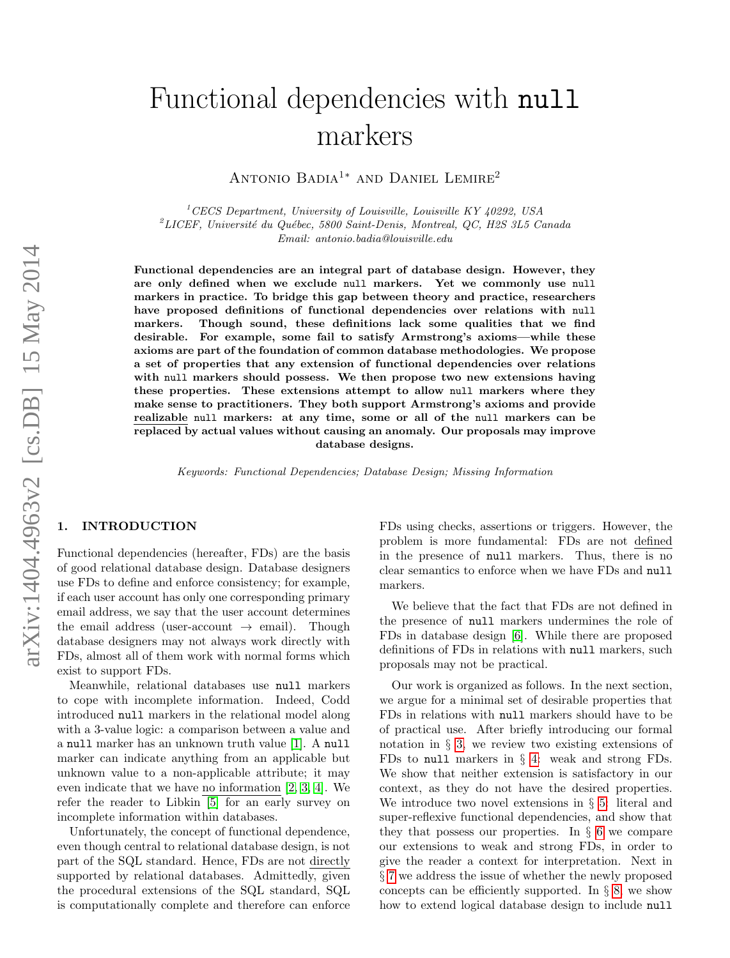# Functional dependencies with null markers

Antonio Badia<sup>1</sup><sup>∗</sup> and Daniel Lemire<sup>2</sup>

 $1$ <sup> $1$ </sup>CECS Department, University of Louisville, Louisville KY 40292, USA  $^{2}$ LICEF, Université du Québec, 5800 Saint-Denis, Montreal, QC, H2S 3L5 Canada Email: antonio.badia@louisville.edu

Functional dependencies are an integral part of database design. However, they are only defined when we exclude null markers. Yet we commonly use null markers in practice. To bridge this gap between theory and practice, researchers have proposed definitions of functional dependencies over relations with null markers. Though sound, these definitions lack some qualities that we find desirable. For example, some fail to satisfy Armstrong's axioms—while these axioms are part of the foundation of common database methodologies. We propose a set of properties that any extension of functional dependencies over relations with null markers should possess. We then propose two new extensions having these properties. These extensions attempt to allow null markers where they make sense to practitioners. They both support Armstrong's axioms and provide realizable null markers: at any time, some or all of the null markers can be replaced by actual values without causing an anomaly. Our proposals may improve database designs.

Keywords: Functional Dependencies; Database Design; Missing Information

## 1. INTRODUCTION

Functional dependencies (hereafter, FDs) are the basis of good relational database design. Database designers use FDs to define and enforce consistency; for example, if each user account has only one corresponding primary email address, we say that the user account determines the email address (user-account  $\rightarrow$  email). Though database designers may not always work directly with FDs, almost all of them work with normal forms which exist to support FDs.

Meanwhile, relational databases use null markers to cope with incomplete information. Indeed, Codd introduced null markers in the relational model along with a 3-value logic: a comparison between a value and a null marker has an unknown truth value [\[1\]](#page-8-0). A null marker can indicate anything from an applicable but unknown value to a non-applicable attribute; it may even indicate that we have no information [\[2,](#page-8-1) [3,](#page-8-2) [4\]](#page-8-3). We refer the reader to Libkin [\[5\]](#page-8-4) for an early survey on incomplete information within databases.

Unfortunately, the concept of functional dependence, even though central to relational database design, is not part of the SQL standard. Hence, FDs are not directly supported by relational databases. Admittedly, given the procedural extensions of the SQL standard, SQL is computationally complete and therefore can enforce

FDs using checks, assertions or triggers. However, the problem is more fundamental: FDs are not defined in the presence of null markers. Thus, there is no clear semantics to enforce when we have FDs and null markers.

We believe that the fact that FDs are not defined in the presence of null markers undermines the role of FDs in database design [\[6\]](#page-8-5). While there are proposed definitions of FDs in relations with null markers, such proposals may not be practical.

Our work is organized as follows. In the next section, we argue for a minimal set of desirable properties that FDs in relations with null markers should have to be of practical use. After briefly introducing our formal notation in § [3,](#page-2-0) we review two existing extensions of FDs to null markers in  $\S$  [4:](#page-2-1) weak and strong FDs. We show that neither extension is satisfactory in our context, as they do not have the desired properties. We introduce two novel extensions in  $\S$  [5:](#page-3-0) literal and super-reflexive functional dependencies, and show that they that possess our properties. In  $\S 6$  $\S 6$  we compare our extensions to weak and strong FDs, in order to give the reader a context for interpretation. Next in § [7](#page-6-0) we address the issue of whether the newly proposed concepts can be efficiently supported. In  $\S 8$ , we show how to extend logical database design to include null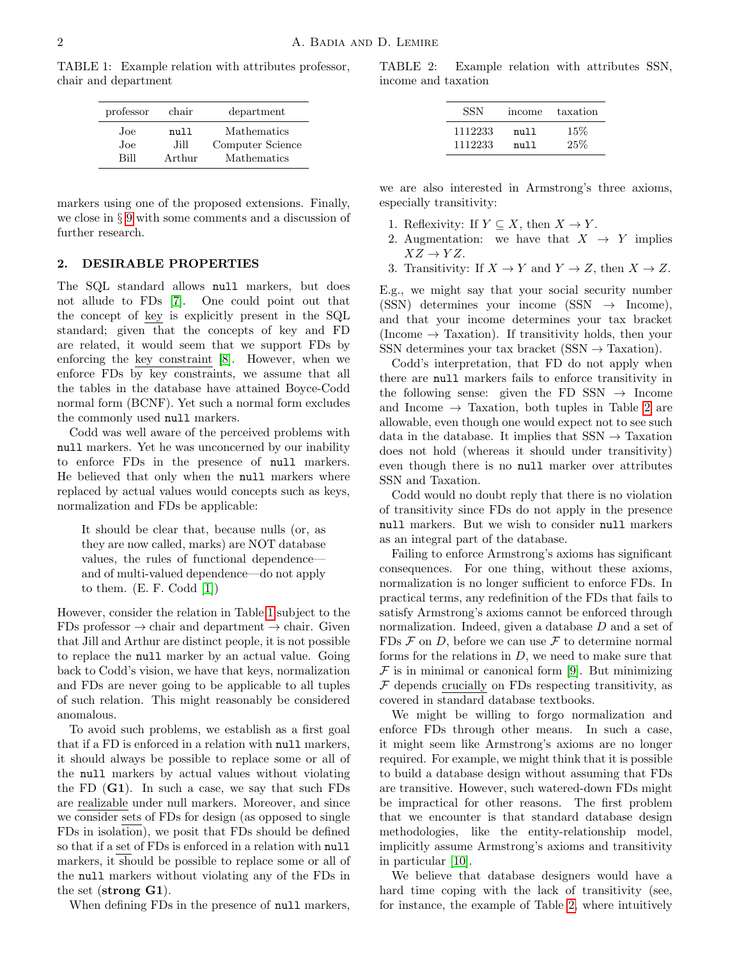<span id="page-1-0"></span>TABLE 1: Example relation with attributes professor, chair and department

| professor | chair  | department       |  |
|-----------|--------|------------------|--|
| Joe.      | null   | Mathematics      |  |
| Joe.      | .Hill  | Computer Science |  |
| Rill      | Arthur | Mathematics      |  |

markers using one of the proposed extensions. Finally, we close in § [9](#page-7-1) with some comments and a discussion of further research.

## <span id="page-1-2"></span>2. DESIRABLE PROPERTIES

The SQL standard allows null markers, but does not allude to FDs [\[7\]](#page-8-6). One could point out that the concept of key is explicitly present in the SQL standard; given that the concepts of key and FD are related, it would seem that we support FDs by enforcing the key constraint [\[8\]](#page-8-7). However, when we enforce FDs by key constraints, we assume that all the tables in the database have attained Boyce-Codd normal form (BCNF). Yet such a normal form excludes the commonly used null markers.

Codd was well aware of the perceived problems with null markers. Yet he was unconcerned by our inability to enforce FDs in the presence of null markers. He believed that only when the null markers where replaced by actual values would concepts such as keys, normalization and FDs be applicable:

It should be clear that, because nulls (or, as they are now called, marks) are NOT database values, the rules of functional dependence and of multi-valued dependence—do not apply to them.  $(E. F. Codd [1])$  $(E. F. Codd [1])$  $(E. F. Codd [1])$ 

However, consider the relation in Table [1](#page-1-0) subject to the FDs professor  $\rightarrow$  chair and department  $\rightarrow$  chair. Given that Jill and Arthur are distinct people, it is not possible to replace the null marker by an actual value. Going back to Codd's vision, we have that keys, normalization and FDs are never going to be applicable to all tuples of such relation. This might reasonably be considered anomalous.

To avoid such problems, we establish as a first goal that if a FD is enforced in a relation with null markers, it should always be possible to replace some or all of the null markers by actual values without violating the FD  $(G1)$ . In such a case, we say that such FDs are realizable under null markers. Moreover, and since we consider sets of FDs for design (as opposed to single FDs in isolation), we posit that FDs should be defined so that if a set of FDs is enforced in a relation with null markers, it should be possible to replace some or all of the null markers without violating any of the FDs in the set (strong G1).

When defining FDs in the presence of null markers,

<span id="page-1-1"></span>TABLE 2: Example relation with attributes SSN, income and taxation

| SSN     | income | taxation |
|---------|--------|----------|
| 1112233 | null   | 15%      |
| 1112233 | null   | 25%      |

we are also interested in Armstrong's three axioms, especially transitivity:

- 1. Reflexivity: If  $Y \subseteq X$ , then  $X \to Y$ .
- 2. Augmentation: we have that  $X \rightarrow Y$  implies  $XZ \rightarrow YZ$ .
- 3. Transitivity: If  $X \to Y$  and  $Y \to Z$ , then  $X \to Z$ .

E.g., we might say that your social security number (SSN) determines your income (SSN  $\rightarrow$  Income), and that your income determines your tax bracket (Income  $\rightarrow$  Taxation). If transitivity holds, then your SSN determines your tax bracket  $(SSN \rightarrow Taxation)$ .

Codd's interpretation, that FD do not apply when there are null markers fails to enforce transitivity in the following sense: given the FD SSN  $\rightarrow$  Income and Income  $\rightarrow$  Taxation, both tuples in Table [2](#page-1-1) are allowable, even though one would expect not to see such data in the database. It implies that  $SSN \rightarrow$  Taxation does not hold (whereas it should under transitivity) even though there is no null marker over attributes SSN and Taxation.

Codd would no doubt reply that there is no violation of transitivity since FDs do not apply in the presence null markers. But we wish to consider null markers as an integral part of the database.

Failing to enforce Armstrong's axioms has significant consequences. For one thing, without these axioms, normalization is no longer sufficient to enforce FDs. In practical terms, any redefinition of the FDs that fails to satisfy Armstrong's axioms cannot be enforced through normalization. Indeed, given a database D and a set of FDs  $\mathcal F$  on D, before we can use  $\mathcal F$  to determine normal forms for the relations in  $D$ , we need to make sure that  $\mathcal F$  is in minimal or canonical form [\[9\]](#page-8-8). But minimizing  $F$  depends crucially on FDs respecting transitivity, as covered in standard database textbooks.

We might be willing to forgo normalization and enforce FDs through other means. In such a case, it might seem like Armstrong's axioms are no longer required. For example, we might think that it is possible to build a database design without assuming that FDs are transitive. However, such watered-down FDs might be impractical for other reasons. The first problem that we encounter is that standard database design methodologies, like the entity-relationship model, implicitly assume Armstrong's axioms and transitivity in particular [\[10\]](#page-8-9).

We believe that database designers would have a hard time coping with the lack of transitivity (see, for instance, the example of Table [2,](#page-1-1) where intuitively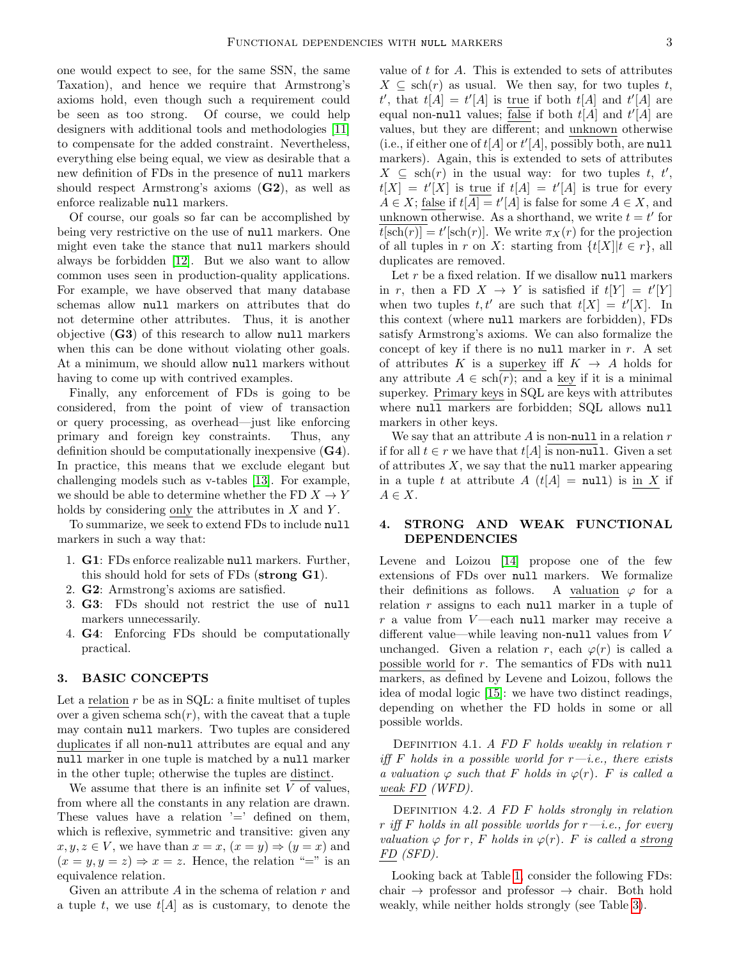one would expect to see, for the same SSN, the same Taxation), and hence we require that Armstrong's axioms hold, even though such a requirement could be seen as too strong. Of course, we could help designers with additional tools and methodologies [\[11\]](#page-8-10) to compensate for the added constraint. Nevertheless, everything else being equal, we view as desirable that a new definition of FDs in the presence of null markers should respect Armstrong's axioms (G2), as well as enforce realizable null markers.

Of course, our goals so far can be accomplished by being very restrictive on the use of null markers. One might even take the stance that null markers should always be forbidden [\[12\]](#page-8-11). But we also want to allow common uses seen in production-quality applications. For example, we have observed that many database schemas allow null markers on attributes that do not determine other attributes. Thus, it is another objective  $(G3)$  of this research to allow null markers when this can be done without violating other goals. At a minimum, we should allow null markers without having to come up with contrived examples.

Finally, any enforcement of FDs is going to be considered, from the point of view of transaction or query processing, as overhead—just like enforcing primary and foreign key constraints. Thus, any definition should be computationally inexpensive (G4). In practice, this means that we exclude elegant but challenging models such as v-tables [\[13\]](#page-8-12). For example, we should be able to determine whether the FD  $X \to Y$ holds by considering only the attributes in  $X$  and  $Y$ .

To summarize, we seek to extend FDs to include null markers in such a way that:

- 1. G1: FDs enforce realizable null markers. Further, this should hold for sets of FDs (strong G1).
- 2. G2: Armstrong's axioms are satisfied.
- 3. G3: FDs should not restrict the use of null markers unnecessarily.
- 4. G4: Enforcing FDs should be computationally practical.

# <span id="page-2-0"></span>3. BASIC CONCEPTS

Let a relation  $r$  be as in SQL: a finite multiset of tuples over a given schema  $\operatorname{sch}(r)$ , with the caveat that a tuple may contain null markers. Two tuples are considered duplicates if all non-null attributes are equal and any null marker in one tuple is matched by a null marker in the other tuple; otherwise the tuples are distinct.

We assume that there is an infinite set  $V$  of values, from where all the constants in any relation are drawn. These values have a relation  $=$  defined on them, which is reflexive, symmetric and transitive: given any  $x, y, z \in V$ , we have than  $x = x$ ,  $(x = y) \Rightarrow (y = x)$  and  $(x = y, y = z) \Rightarrow x = z$ . Hence, the relation "=" is an equivalence relation.

Given an attribute  $A$  in the schema of relation  $r$  and a tuple t, we use  $t[A]$  as is customary, to denote the value of  $t$  for  $A$ . This is extended to sets of attributes  $X \subseteq \text{sch}(r)$  as usual. We then say, for two tuples t, t', that  $t[A] = t'[A]$  is true if both  $t[A]$  and  $t'[A]$  are equal non-null values; <u>false</u> if both  $t[A]$  and  $t'[A]$  are values, but they are different; and unknown otherwise (i.e., if either one of  $t[A]$  or  $t'[A]$ , possibly both, are null markers). Again, this is extended to sets of attributes  $X \subseteq \operatorname{sch}(r)$  in the usual way: for two tuples t, t',  $t[X] = t'[X]$  is true if  $t[A] = t'[A]$  is true for every  $A \in X$ ; false if  $t[A] = t'[A]$  is false for some  $A \in X$ , and unknown otherwise. As a shorthand, we write  $t = t'$  for  $t[\text{sch}(r)] = t'[\text{sch}(r)]$ . We write  $\pi_X(r)$  for the projection of all tuples in r on X: starting from  $\{t[X] | t \in r\}$ , all duplicates are removed.

Let  $r$  be a fixed relation. If we disallow null markers in r, then a FD  $X \to Y$  is satisfied if  $t[Y] = t'[Y]$ when two tuples  $t, t'$  are such that  $t[X] = t'[X]$ . In this context (where null markers are forbidden), FDs satisfy Armstrong's axioms. We can also formalize the concept of key if there is no null marker in  $r$ . A set of attributes K is a superkey iff  $K \rightarrow A$  holds for any attribute  $A \in \text{sch}(r)$ ; and a key if it is a minimal superkey. Primary keys in SQL are keys with attributes where null markers are forbidden; SQL allows null markers in other keys.

We say that an attribute  $A$  is non-null in a relation  $r$ if for all  $t \in r$  we have that  $t[A]$  is non-null. Given a set of attributes  $X$ , we say that the null marker appearing in a tuple t at attribute  $A(t[A] = null)$  is in X if  $A \in X$ .

# <span id="page-2-1"></span>4. STRONG AND WEAK FUNCTIONAL DEPENDENCIES

Levene and Loizou [\[14\]](#page-8-13) propose one of the few extensions of FDs over null markers. We formalize their definitions as follows. A valuation  $\varphi$  for a relation  $r$  assigns to each null marker in a tuple of  $r$  a value from  $V$ —each null marker may receive a different value—while leaving non-null values from V unchanged. Given a relation r, each  $\varphi(r)$  is called a possible world for r. The semantics of FDs with null markers, as defined by Levene and Loizou, follows the idea of modal logic [\[15\]](#page-8-14): we have two distinct readings, depending on whether the FD holds in some or all possible worlds.

DEFINITION 4.1. A FD  $F$  holds weakly in relation  $r$ iff F holds in a possible world for  $r-i.e.,$  there exists a valuation  $\varphi$  such that F holds in  $\varphi(r)$ . F is called a weak FD (WFD).

DEFINITION 4.2. A FD  $F$  holds strongly in relation r iff F holds in all possible worlds for  $r - i.e.,$  for every valuation  $\varphi$  for r, F holds in  $\varphi(r)$ . F is called a strong FD (SFD).

Looking back at Table [1,](#page-1-0) consider the following FDs: chair  $\rightarrow$  professor and professor  $\rightarrow$  chair. Both hold weakly, while neither holds strongly (see Table [3\)](#page-3-1).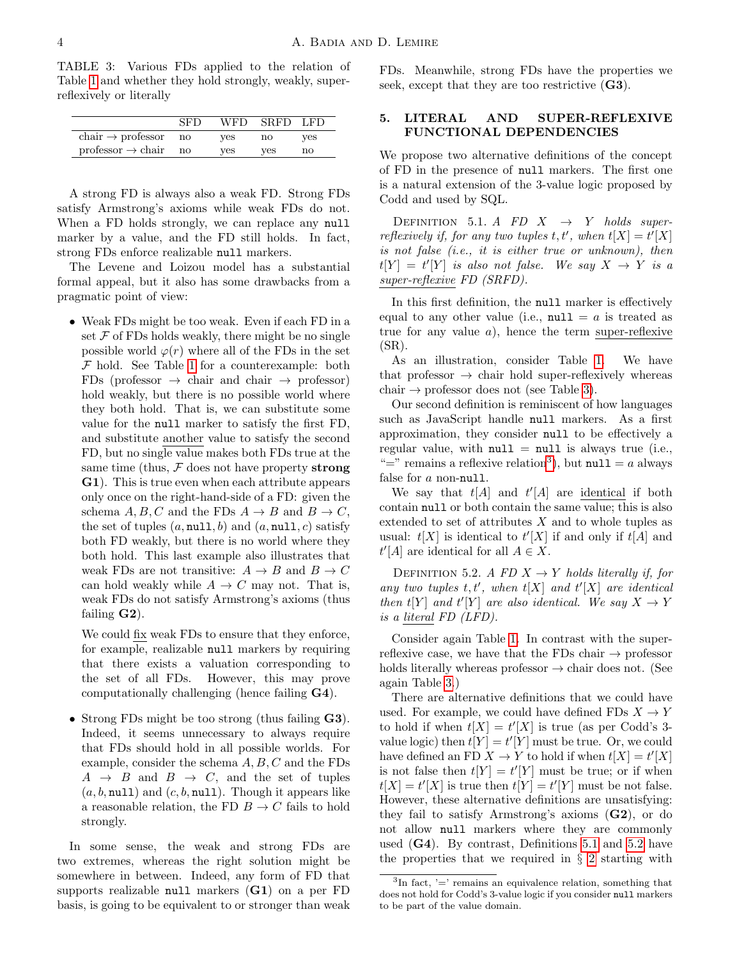<span id="page-3-1"></span>TABLE 3: Various FDs applied to the relation of Table [1](#page-1-0) and whether they hold strongly, weakly, superreflexively or literally

|                                             | SFD | WFD. | SRFD LFD |     |
|---------------------------------------------|-----|------|----------|-----|
| $\text{chair} \rightarrow \text{professor}$ | no  | ves  | no       | yes |
| $professor \rightarrow chair \quad no$      |     | ves  | yes      | no  |

A strong FD is always also a weak FD. Strong FDs satisfy Armstrong's axioms while weak FDs do not. When a FD holds strongly, we can replace any null marker by a value, and the FD still holds. In fact, strong FDs enforce realizable null markers.

The Levene and Loizou model has a substantial formal appeal, but it also has some drawbacks from a pragmatic point of view:

• Weak FDs might be too weak. Even if each FD in a set  $\mathcal F$  of FDs holds weakly, there might be no single possible world  $\varphi(r)$  where all of the FDs in the set  $F$  hold. See Table [1](#page-1-0) for a counterexample: both FDs (professor  $\rightarrow$  chair and chair  $\rightarrow$  professor) hold weakly, but there is no possible world where they both hold. That is, we can substitute some value for the null marker to satisfy the first FD, and substitute another value to satisfy the second FD, but no single value makes both FDs true at the same time (thus,  $\mathcal F$  does not have property strong G1). This is true even when each attribute appears only once on the right-hand-side of a FD: given the schema  $A, B, C$  and the FDs  $A \rightarrow B$  and  $B \rightarrow C$ , the set of tuples  $(a, \text{null}, b)$  and  $(a, \text{null}, c)$  satisfy both FD weakly, but there is no world where they both hold. This last example also illustrates that weak FDs are not transitive:  $A \rightarrow B$  and  $B \rightarrow C$ can hold weakly while  $A \to C$  may not. That is, weak FDs do not satisfy Armstrong's axioms (thus failing  $G2$ ).

We could fix weak FDs to ensure that they enforce, for example, realizable null markers by requiring that there exists a valuation corresponding to the set of all FDs. However, this may prove computationally challenging (hence failing G4).

• Strong FDs might be too strong (thus failing G3). Indeed, it seems unnecessary to always require that FDs should hold in all possible worlds. For example, consider the schema  $A, B, C$  and the FDs  $A \rightarrow B$  and  $B \rightarrow C$ , and the set of tuples  $(a, b, \text{null})$  and  $(c, b, \text{null})$ . Though it appears like a reasonable relation, the FD  $B \to C$  fails to hold strongly.

In some sense, the weak and strong FDs are two extremes, whereas the right solution might be somewhere in between. Indeed, any form of FD that supports realizable null markers  $(G1)$  on a per FD basis, is going to be equivalent to or stronger than weak FDs. Meanwhile, strong FDs have the properties we seek, except that they are too restrictive (G3).

## <span id="page-3-0"></span>5. LITERAL AND SUPER-REFLEXIVE FUNCTIONAL DEPENDENCIES

We propose two alternative definitions of the concept of FD in the presence of null markers. The first one is a natural extension of the 3-value logic proposed by Codd and used by SQL.

<span id="page-3-3"></span>DEFINITION 5.1. A FD  $X \rightarrow Y$  holds superreflexively if, for any two tuples  $t, t'$ , when  $t[X] = t'[X]$ is not false (i.e., it is either true or unknown), then  $t[Y] = t'[Y]$  is also not false. We say  $X \rightarrow Y$  is a super-reflexive FD (SRFD).

In this first definition, the null marker is effectively equal to any other value (i.e.,  $null = a$  is treated as true for any value  $a$ ), hence the term super-reflexive  $(SR)$ .

As an illustration, consider Table [1.](#page-1-0) We have that professor  $\rightarrow$  chair hold super-reflexively whereas chair  $\rightarrow$  professor does not (see Table [3\)](#page-3-1).

Our second definition is reminiscent of how languages such as JavaScript handle null markers. As a first approximation, they consider null to be effectively a regular value, with  $null = null$  is always true (i.e., "=" remains a reflexive relation<sup>[3](#page-3-2)</sup>), but  $null = a$  always false for a non-null.

We say that  $t[A]$  and  $t'[A]$  are identical if both contain null or both contain the same value; this is also extended to set of attributes  $X$  and to whole tuples as usual:  $t[X]$  is identical to  $t'[X]$  if and only if  $t[A]$  and  $t'[A]$  are identical for all  $A \in X$ .

<span id="page-3-4"></span>DEFINITION 5.2. A FD  $X \rightarrow Y$  holds literally if, for any two tuples  $t, t'$ , when  $t[X]$  and  $t'[X]$  are identical then  $t[Y]$  and  $t'[Y]$  are also identical. We say  $X \to Y$ is a literal FD (LFD).

Consider again Table [1.](#page-1-0) In contrast with the superreflexive case, we have that the FDs chair  $\rightarrow$  professor holds literally whereas professor  $\rightarrow$  chair does not. (See again Table [3.](#page-3-1))

There are alternative definitions that we could have used. For example, we could have defined FDs  $X \to Y$ to hold if when  $t[X] = t'[X]$  is true (as per Codd's 3value logic) then  $t[Y] = t'[Y]$  must be true. Or, we could have defined an FD  $X \to Y$  to hold if when  $t[X] = t'[X]$ is not false then  $t[Y] = t'[Y]$  must be true; or if when  $t[X] = t'[X]$  is true then  $t[Y] = t'[Y]$  must be not false. However, these alternative definitions are unsatisfying: they fail to satisfy Armstrong's axioms  $(G2)$ , or do not allow null markers where they are commonly used (G4). By contrast, Definitions [5.1](#page-3-3) and [5.2](#page-3-4) have the properties that we required in  $\S$  [2](#page-1-2) starting with

<span id="page-3-2"></span> ${}^{3}$ In fact, '=' remains an equivalence relation, something that does not hold for Codd's 3-value logic if you consider null markers to be part of the value domain.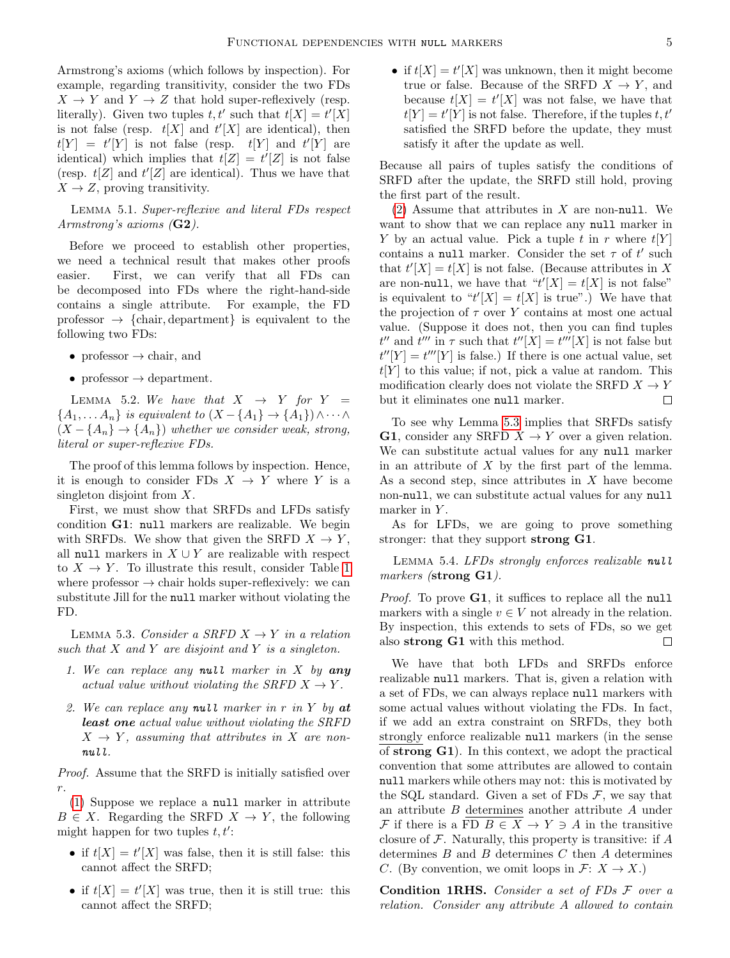Armstrong's axioms (which follows by inspection). For example, regarding transitivity, consider the two FDs  $X \to Y$  and  $Y \to Z$  that hold super-reflexively (resp. literally). Given two tuples  $t, t'$  such that  $t[X] = t'[X]$ is not false (resp.  $t[X]$  and  $t'[X]$  are identical), then  $t[Y] = t'[Y]$  is not false (resp.  $t[Y]$  and  $t'[Y]$  are identical) which implies that  $t[Z] = t'[Z]$  is not false (resp.  $t[Z]$  and  $t'[Z]$  are identical). Thus we have that  $X \to Z$ , proving transitivity.

Lemma 5.1. Super-reflexive and literal FDs respect Armstrong's axioms (G2).

Before we proceed to establish other properties, we need a technical result that makes other proofs easier. First, we can verify that all FDs can be decomposed into FDs where the right-hand-side contains a single attribute. For example, the FD professor  $\rightarrow$  {chair, department} is equivalent to the following two FDs:

- professor  $\rightarrow$  chair, and
- professor  $\rightarrow$  department.

LEMMA 5.2. We have that  $X \rightarrow Y$  for  $Y =$  ${A_1, \ldots A_n}$  is equivalent to  $(X - {A_1} \rightarrow {A_1}) \wedge \cdots \wedge$  $(X - \{A_n\} \rightarrow \{A_n\})$  whether we consider weak, strong, literal or super-reflexive FDs.

The proof of this lemma follows by inspection. Hence, it is enough to consider FDs  $X \to Y$  where Y is a singleton disjoint from X.

First, we must show that SRFDs and LFDs satisfy condition G1: null markers are realizable. We begin with SRFDs. We show that given the SRFD  $X \to Y$ , all null markers in  $X \cup Y$  are realizable with respect to  $X \to Y$ . To illustrate this result, consider Table [1](#page-1-0) where professor  $\rightarrow$  chair holds super-reflexively: we can substitute Jill for the null marker without violating the FD.

<span id="page-4-2"></span>LEMMA 5.3. Consider a SRFD  $X \to Y$  in a relation such that  $X$  and  $Y$  are disjoint and  $Y$  is a singleton.

- <span id="page-4-0"></span>1. We can replace any null marker in  $X$  by any actual value without violating the SRFD  $X \to Y$ .
- <span id="page-4-1"></span>2. We can replace any null marker in r in Y by at least one actual value without violating the SRFD  $X \rightarrow Y$ , assuming that attributes in X are nonnull.

Proof. Assume that the SRFD is initially satisfied over r.

[\(1\)](#page-4-0) Suppose we replace a null marker in attribute  $B \in X$ . Regarding the SRFD  $X \to Y$ , the following might happen for two tuples  $t, t'$ :

- if  $t[X] = t'[X]$  was false, then it is still false: this cannot affect the SRFD;
- if  $t[X] = t'[X]$  was true, then it is still true: this cannot affect the SRFD;

• if  $t[X] = t'[X]$  was unknown, then it might become true or false. Because of the SRFD  $X \to Y$ , and because  $t[X] = t'[X]$  was not false, we have that  $t[Y] = t'[Y]$  is not false. Therefore, if the tuples  $t, t'$ satisfied the SRFD before the update, they must satisfy it after the update as well.

Because all pairs of tuples satisfy the conditions of SRFD after the update, the SRFD still hold, proving the first part of the result.

 $(2)$  Assume that attributes in X are non-null. We want to show that we can replace any null marker in Y by an actual value. Pick a tuple t in r where  $t[Y]$ contains a null marker. Consider the set  $\tau$  of  $t'$  such that  $t'[X] = t[X]$  is not false. (Because attributes in X are non-null, we have that " $t'[X] = t[X]$  is not false" is equivalent to " $t'[X] = t[X]$  is true".) We have that the projection of  $\tau$  over Y contains at most one actual value. (Suppose it does not, then you can find tuples  $t''$  and  $t'''$  in  $\tau$  such that  $t''[X] = t'''[X]$  is not false but  $t''[Y] = t'''[Y]$  is false.) If there is one actual value, set  $t[Y]$  to this value; if not, pick a value at random. This modification clearly does not violate the SRFD  $X \to Y$ but it eliminates one null marker.  $\Box$ 

To see why Lemma [5.3](#page-4-2) implies that SRFDs satisfy **G1**, consider any SRFD  $X \to Y$  over a given relation. We can substitute actual values for any null marker in an attribute of  $X$  by the first part of the lemma. As a second step, since attributes in  $X$  have become non-null, we can substitute actual values for any null marker in  $Y$ .

As for LFDs, we are going to prove something stronger: that they support strong G1.

LEMMA 5.4. LFDs strongly enforces realizable null markers (strong G1).

Proof. To prove G1, it suffices to replace all the null markers with a single  $v \in V$  not already in the relation. By inspection, this extends to sets of FDs, so we get also strong G1 with this method. П

We have that both LFDs and SRFDs enforce realizable null markers. That is, given a relation with a set of FDs, we can always replace null markers with some actual values without violating the FDs. In fact, if we add an extra constraint on SRFDs, they both strongly enforce realizable null markers (in the sense of strong G1). In this context, we adopt the practical convention that some attributes are allowed to contain null markers while others may not: this is motivated by the SQL standard. Given a set of FDs  $\mathcal{F}$ , we say that an attribute B determines another attribute A under  $\mathcal F$  if there is a FD  $B \in X \to Y \ni A$  in the transitive closure of  $\mathcal F$ . Naturally, this property is transitive: if  $A$ determines  $B$  and  $B$  determines  $C$  then  $A$  determines C. (By convention, we omit loops in  $\mathcal{F}: X \to X$ .)

Condition 1RHS. Consider a set of FDs F over a relation. Consider any attribute A allowed to contain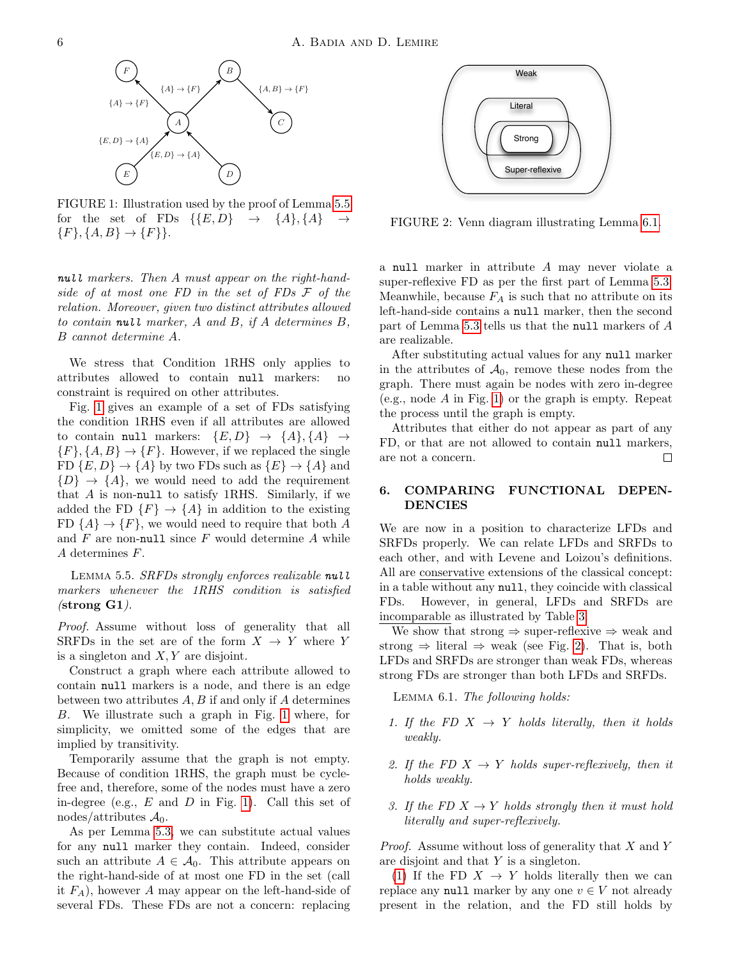<span id="page-5-2"></span>

FIGURE 1: Illustration used by the proof of Lemma [5.5](#page-5-1) for the set of FDs  $\{\{E, D\} \rightarrow \{A\}, \{A\} \rightarrow$  ${F}, {A, B} \rightarrow {F}.$ 

null markers. Then A must appear on the right-handside of at most one FD in the set of FDs F of the relation. Moreover, given two distinct attributes allowed to contain null marker,  $A$  and  $B$ , if  $A$  determines  $B$ , B cannot determine A.

We stress that Condition 1RHS only applies to attributes allowed to contain null markers: no constraint is required on other attributes.

Fig. [1](#page-5-2) gives an example of a set of FDs satisfying the condition 1RHS even if all attributes are allowed to contain null markers:  $\{E, D\} \rightarrow \{A\}, \{A\} \rightarrow$  ${F}, {A, B} \rightarrow {F}.$  However, if we replaced the single FD  $\{E, D\} \rightarrow \{A\}$  by two FDs such as  $\{E\} \rightarrow \{A\}$  and  $\{D\} \rightarrow \{A\}$ , we would need to add the requirement that  $A$  is non-null to satisfy 1RHS. Similarly, if we added the FD  $\{F\} \rightarrow \{A\}$  in addition to the existing FD  $\{A\} \rightarrow \{F\}$ , we would need to require that both A and  $F$  are non-null since  $F$  would determine  $A$  while A determines F.

<span id="page-5-1"></span>LEMMA 5.5. SRFDs strongly enforces realizable null markers whenever the 1RHS condition is satisfied  $(\text{strong }G1).$ 

Proof. Assume without loss of generality that all SRFDs in the set are of the form  $X \to Y$  where Y is a singleton and  $X, Y$  are disjoint.

Construct a graph where each attribute allowed to contain null markers is a node, and there is an edge between two attributes  $A, B$  if and only if  $A$  determines B. We illustrate such a graph in Fig. [1](#page-5-2) where, for simplicity, we omitted some of the edges that are implied by transitivity.

Temporarily assume that the graph is not empty. Because of condition 1RHS, the graph must be cyclefree and, therefore, some of the nodes must have a zero in-degree (e.g.,  $E$  and  $D$  in Fig. [1\)](#page-5-2). Call this set of nodes/attributes  $\mathcal{A}_0$ .

As per Lemma [5.3,](#page-4-2) we can substitute actual values for any null marker they contain. Indeed, consider such an attribute  $A \in \mathcal{A}_0$ . This attribute appears on the right-hand-side of at most one FD in the set (call it  $F_A$ ), however A may appear on the left-hand-side of several FDs. These FDs are not a concern: replacing

<span id="page-5-4"></span>

FIGURE 2: Venn diagram illustrating Lemma [6.1.](#page-5-3)

a null marker in attribute A may never violate a super-reflexive FD as per the first part of Lemma [5.3.](#page-4-2) Meanwhile, because  $F_A$  is such that no attribute on its left-hand-side contains a null marker, then the second part of Lemma [5.3](#page-4-2) tells us that the null markers of A are realizable.

After substituting actual values for any null marker in the attributes of  $\mathcal{A}_0$ , remove these nodes from the graph. There must again be nodes with zero in-degree (e.g., node  $A$  in Fig. [1\)](#page-5-2) or the graph is empty. Repeat the process until the graph is empty.

Attributes that either do not appear as part of any FD, or that are not allowed to contain null markers, are not a concern.  $\Box$ 

## <span id="page-5-0"></span>6. COMPARING FUNCTIONAL DEPEN-DENCIES

We are now in a position to characterize LFDs and SRFDs properly. We can relate LFDs and SRFDs to each other, and with Levene and Loizou's definitions. All are conservative extensions of the classical concept: in a table without any null, they coincide with classical FDs. However, in general, LFDs and SRFDs are incomparable as illustrated by Table [3.](#page-3-1)

We show that strong  $\Rightarrow$  super-reflexive  $\Rightarrow$  weak and strong  $\Rightarrow$  literal  $\Rightarrow$  weak (see Fig. [2\)](#page-5-4). That is, both LFDs and SRFDs are stronger than weak FDs, whereas strong FDs are stronger than both LFDs and SRFDs.

<span id="page-5-3"></span>Lemma 6.1. The following holds:

- <span id="page-5-5"></span>1. If the FD  $X \rightarrow Y$  holds literally, then it holds weakly.
- <span id="page-5-6"></span>2. If the FD  $X \rightarrow Y$  holds super-reflexively, then it holds weakly.
- <span id="page-5-7"></span>3. If the FD  $X \to Y$  holds strongly then it must hold literally and super-reflexively.

Proof. Assume without loss of generality that X and Y are disjoint and that Y is a singleton.

[\(1\)](#page-5-5) If the FD  $X \rightarrow Y$  holds literally then we can replace any null marker by any one  $v \in V$  not already present in the relation, and the FD still holds by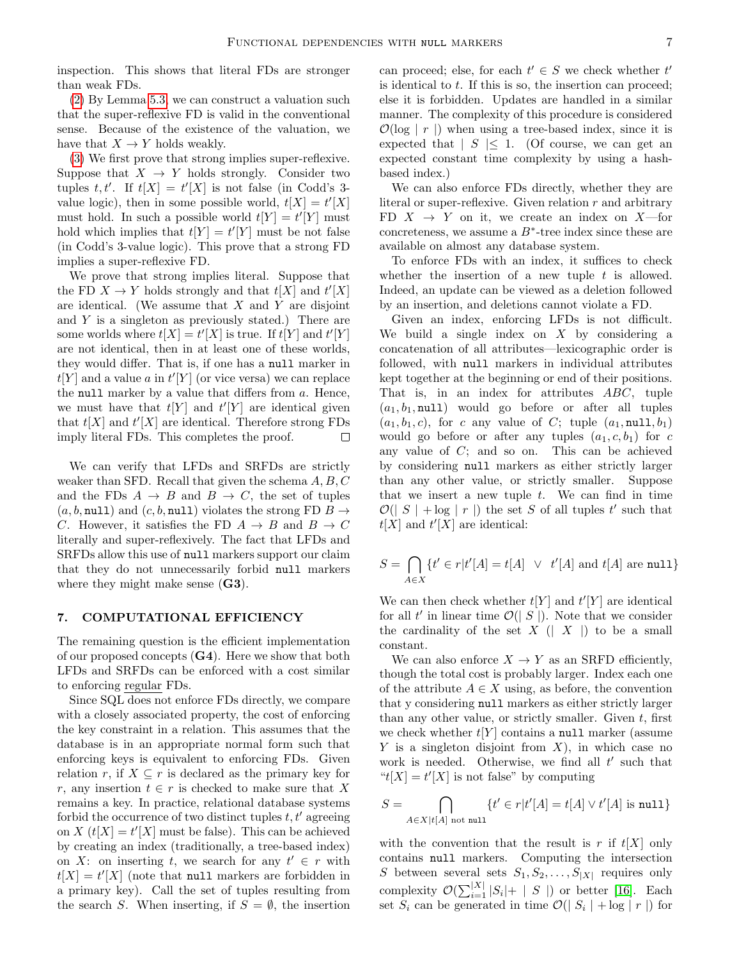inspection. This shows that literal FDs are stronger than weak FDs.

[\(2\)](#page-5-6) By Lemma [5.3,](#page-4-2) we can construct a valuation such that the super-reflexive FD is valid in the conventional sense. Because of the existence of the valuation, we have that  $X \to Y$  holds weakly.

[\(3\)](#page-5-7) We first prove that strong implies super-reflexive. Suppose that  $X \to Y$  holds strongly. Consider two tuples  $t, t'$ . If  $t[X] = t'[X]$  is not false (in Codd's 3value logic), then in some possible world,  $t[X] = t'[X]$ must hold. In such a possible world  $t[Y] = t'[Y]$  must hold which implies that  $t[Y] = t'[Y]$  must be not false (in Codd's 3-value logic). This prove that a strong FD implies a super-reflexive FD.

We prove that strong implies literal. Suppose that the FD  $X \to Y$  holds strongly and that  $t[X]$  and  $t'[X]$ are identical. (We assume that  $X$  and  $Y$  are disjoint and  $Y$  is a singleton as previously stated.) There are some worlds where  $t[X] = t'[X]$  is true. If  $t[Y]$  and  $t'[Y]$ are not identical, then in at least one of these worlds, they would differ. That is, if one has a null marker in  $t[Y]$  and a value a in  $t'[Y]$  (or vice versa) we can replace the null marker by a value that differs from  $a$ . Hence, we must have that  $t[Y]$  and  $t'[Y]$  are identical given that  $t[X]$  and  $t'[X]$  are identical. Therefore strong FDs imply literal FDs. This completes the proof.  $\Box$ 

We can verify that LFDs and SRFDs are strictly weaker than SFD. Recall that given the schema A, B, C and the FDs  $A \rightarrow B$  and  $B \rightarrow C$ , the set of tuples  $(a, b, \text{null})$  and  $(c, b, \text{null})$  violates the strong FD  $B \rightarrow$ C. However, it satisfies the FD  $A \rightarrow B$  and  $B \rightarrow C$ literally and super-reflexively. The fact that LFDs and SRFDs allow this use of null markers support our claim that they do not unnecessarily forbid null markers where they might make sense  $(G3)$ .

#### <span id="page-6-0"></span>7. COMPUTATIONAL EFFICIENCY

The remaining question is the efficient implementation of our proposed concepts  $(G4)$ . Here we show that both LFDs and SRFDs can be enforced with a cost similar to enforcing regular FDs.

Since SQL does not enforce FDs directly, we compare with a closely associated property, the cost of enforcing the key constraint in a relation. This assumes that the database is in an appropriate normal form such that enforcing keys is equivalent to enforcing FDs. Given relation r, if  $X \subseteq r$  is declared as the primary key for r, any insertion  $t \in r$  is checked to make sure that X remains a key. In practice, relational database systems forbid the occurrence of two distinct tuples  $t, t'$  agreeing on  $X(t[X] = t'[X]$  must be false). This can be achieved by creating an index (traditionally, a tree-based index) on X: on inserting t, we search for any  $t' \in r$  with  $t[X] = t'[X]$  (note that null markers are forbidden in a primary key). Call the set of tuples resulting from the search S. When inserting, if  $S = \emptyset$ , the insertion can proceed; else, for each  $t' \in S$  we check whether  $t'$ is identical to  $t$ . If this is so, the insertion can proceed; else it is forbidden. Updates are handled in a similar manner. The complexity of this procedure is considered  $\mathcal{O}(\log | r |)$  when using a tree-based index, since it is expected that  $|S| \leq 1$ . (Of course, we can get an expected constant time complexity by using a hashbased index.)

We can also enforce FDs directly, whether they are literal or super-reflexive. Given relation  $r$  and arbitrary FD  $X \rightarrow Y$  on it, we create an index on X—for concreteness, we assume a  $B^*$ -tree index since these are available on almost any database system.

To enforce FDs with an index, it suffices to check whether the insertion of a new tuple  $t$  is allowed. Indeed, an update can be viewed as a deletion followed by an insertion, and deletions cannot violate a FD.

Given an index, enforcing LFDs is not difficult. We build a single index on  $X$  by considering a concatenation of all attributes—lexicographic order is followed, with null markers in individual attributes kept together at the beginning or end of their positions. That is, in an index for attributes ABC, tuple  $(a_1, b_1, \text{null})$  would go before or after all tuples  $(a_1, b_1, c)$ , for c any value of C; tuple  $(a_1, \text{null}, b_1)$ would go before or after any tuples  $(a_1, c, b_1)$  for c any value of  $C$ ; and so on. This can be achieved by considering null markers as either strictly larger than any other value, or strictly smaller. Suppose that we insert a new tuple  $t$ . We can find in time  $\mathcal{O}(|S| + \log |r|)$  the set S of all tuples t' such that  $t[X]$  and  $t'[X]$  are identical:

$$
S = \bigcap_{A \in X} \{ t' \in r | t'[A] = t[A] \ \lor \ t'[A] \text{ and } t[A] \text{ are null} \}
$$

We can then check whether  $t[Y]$  and  $t'[Y]$  are identical for all  $t'$  in linear time  $\mathcal{O}(|S|)$ . Note that we consider the cardinality of the set  $X$  (|  $X$  |) to be a small constant.

We can also enforce  $X \to Y$  as an SRFD efficiently, though the total cost is probably larger. Index each one of the attribute  $A \in X$  using, as before, the convention that y considering null markers as either strictly larger than any other value, or strictly smaller. Given  $t$ , first we check whether  $t[Y]$  contains a null marker (assume Y is a singleton disjoint from  $X$ ), in which case no work is needed. Otherwise, we find all  $t'$  such that " $t[X] = t'[X]$  is not false" by computing

$$
S = \bigcap_{A \in X \mid t[A] \text{ not null}} \{t' \in r | t'[A] = t[A] \vee t'[A] \text{ is null}\}
$$

with the convention that the result is r if  $t[X]$  only contains null markers. Computing the intersection S between several sets  $S_1, S_2, \ldots, S_{|X|}$  requires only complexity  $\mathcal{O}(\sum_{i=1}^{|X|} |S_i| + |S|)$  or better [\[16\]](#page-8-15). Each set  $S_i$  can be generated in time  $\mathcal{O}(|S_i| + \log |r|)$  for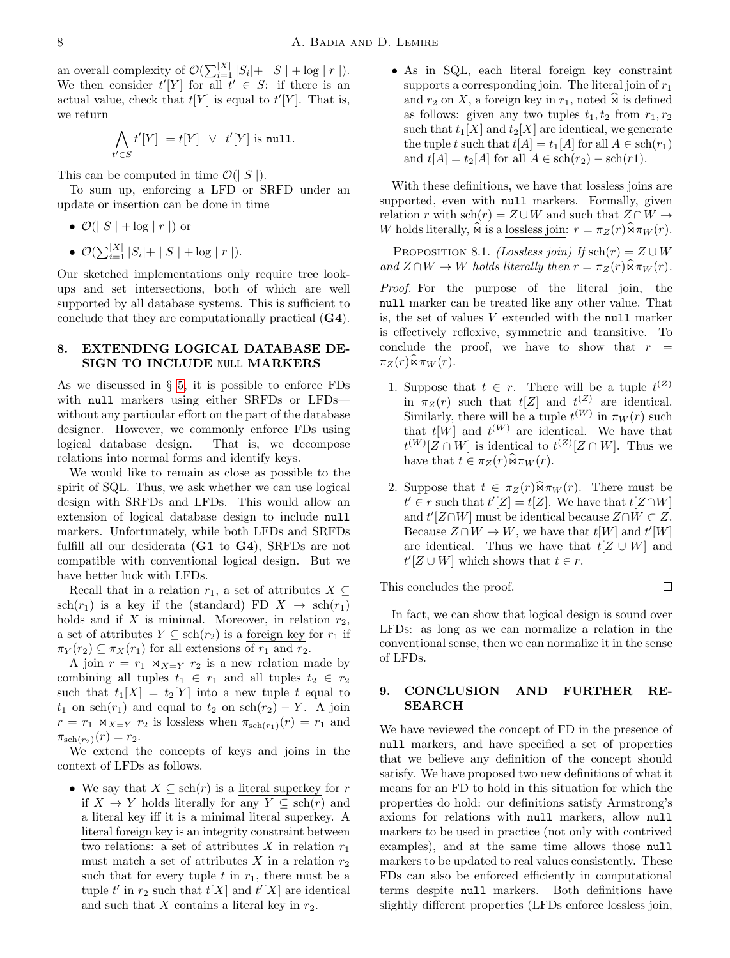an overall complexity of  $\mathcal{O}(\sum_{i=1}^{|X|} |S_i| + |S| + \log |r|).$ We then consider  $t'[Y]$  for all  $t' \in S$ : if there is an actual value, check that  $t[Y]$  is equal to  $t'[Y]$ . That is, we return

$$
\bigwedge_{t' \in S} t'[Y] = t[Y] \ \lor \ t'[Y] \text{ is null.}
$$

This can be computed in time  $\mathcal{O}(|S|)$ .

To sum up, enforcing a LFD or SRFD under an update or insertion can be done in time

•  $\mathcal{O}(|S| + \log |r|)$  or

• 
$$
\mathcal{O}(\sum_{i=1}^{|X|} |S_i| + |S| + \log |r|).
$$

Our sketched implementations only require tree lookups and set intersections, both of which are well supported by all database systems. This is sufficient to conclude that they are computationally practical (G4).

## <span id="page-7-0"></span>8. EXTENDING LOGICAL DATABASE DE-SIGN TO INCLUDE NULL MARKERS

As we discussed in § [5,](#page-3-0) it is possible to enforce FDs with null markers using either SRFDs or LFDs without any particular effort on the part of the database designer. However, we commonly enforce FDs using logical database design. That is, we decompose relations into normal forms and identify keys.

We would like to remain as close as possible to the spirit of SQL. Thus, we ask whether we can use logical design with SRFDs and LFDs. This would allow an extension of logical database design to include null markers. Unfortunately, while both LFDs and SRFDs fulfill all our desiderata (G1 to G4), SRFDs are not compatible with conventional logical design. But we have better luck with LFDs.

Recall that in a relation  $r_1$ , a set of attributes  $X \subseteq$  $sch(r_1)$  is a key if the (standard) FD  $X \rightarrow sch(r_1)$ holds and if  $X$  is minimal. Moreover, in relation  $r_2$ , a set of attributes  $Y \subseteq \text{sch}(r_2)$  is a foreign key for  $r_1$  if  $\pi_Y(r_2) \subseteq \pi_X(r_1)$  for all extensions of  $r_1$  and  $r_2$ .

A join  $r = r_1 \Join_{X=Y} r_2$  is a new relation made by combining all tuples  $t_1 \in r_1$  and all tuples  $t_2 \in r_2$ such that  $t_1[X] = t_2[Y]$  into a new tuple t equal to  $t_1$  on sch $(r_1)$  and equal to  $t_2$  on sch $(r_2) - Y$ . A join  $r = r_1 \Join_{X=Y} r_2$  is lossless when  $\pi_{\text{sch}(r_1)}(r) = r_1$  and  $\pi_{\text{sch}(r_2)}(r) = r_2.$ 

We extend the concepts of keys and joins in the context of LFDs as follows.

• We say that  $X \subseteq \text{sch}(r)$  is a literal superkey for r if  $X \to Y$  holds literally for any  $Y \subseteq \text{sch}(r)$  and a literal key iff it is a minimal literal superkey. A literal foreign key is an integrity constraint between two relations: a set of attributes X in relation  $r_1$ must match a set of attributes X in a relation  $r_2$ such that for every tuple t in  $r_1$ , there must be a tuple  $t'$  in  $r_2$  such that  $t[X]$  and  $t'[X]$  are identical and such that  $X$  contains a literal key in  $r_2$ .

• As in SQL, each literal foreign key constraint supports a corresponding join. The literal join of  $r_1$ and  $r_2$  on X, a foreign key in  $r_1$ , noted  $\widehat{\mathbf{R}}$  is defined as follows: given any two tuples  $t_1, t_2$  from  $r_1, r_2$ such that  $t_1[X]$  and  $t_2[X]$  are identical, we generate the tuple t such that  $t[A] = t_1[A]$  for all  $A \in \text{sch}(r_1)$ and  $t[A] = t_2[A]$  for all  $A \in \text{sch}(r_2) - \text{sch}(r_1)$ .

With these definitions, we have that lossless joins are supported, even with null markers. Formally, given relation r with  $\text{sch}(r) = Z \cup W$  and such that  $Z \cap W \rightarrow$ W holds literally,  $\widehat{\mathbf{w}}$  is a lossless join:  $r = \pi_Z(r)\widehat{\mathbf{w}}\pi_W(r)$ .

PROPOSITION 8.1. (Lossless join) If  $sch(r) = Z \cup W$ and  $Z \cap W \to W$  holds literally then  $r = \pi_Z(r) \widehat{\mathfrak{m}} \pi_W(r)$ .

Proof. For the purpose of the literal join, the null marker can be treated like any other value. That is, the set of values V extended with the null marker is effectively reflexive, symmetric and transitive. To conclude the proof, we have to show that  $r =$  $\pi_Z(r) \widehat{\otimes} \pi_W(r)$ .

- 1. Suppose that  $t \in r$ . There will be a tuple  $t^{(Z)}$ in  $\pi_Z(r)$  such that  $t[Z]$  and  $t^{(Z)}$  are identical. Similarly, there will be a tuple  $t^{(W)}$  in  $\pi_W(r)$  such that  $t[W]$  and  $t^{(W)}$  are identical. We have that  $t^{(W)}[Z \cap W]$  is identical to  $t^{(Z)}[Z \cap W]$ . Thus we have that  $t \in \pi_Z(r) \widehat{\mathfrak{m}}_{W}(r)$ .
- 2. Suppose that  $t \in \pi_Z(r) \widehat{\mathfrak{m}}_{W}(r)$ . There must be  $t' \in r$  such that  $t'[Z] = t[Z]$ . We have that  $t[Z \cap W]$ and  $t'[Z \cap W]$  must be identical because  $Z \cap W \subset Z$ . Because  $Z \cap W \to W$ , we have that  $t[W]$  and  $t'[W]$ are identical. Thus we have that  $t[Z \cup W]$  and  $t'[Z \cup W]$  which shows that  $t \in r$ .

This concludes the proof.

 $\Box$ 

In fact, we can show that logical design is sound over LFDs: as long as we can normalize a relation in the conventional sense, then we can normalize it in the sense of LFDs.

## <span id="page-7-1"></span>9. CONCLUSION AND FURTHER RE-SEARCH

We have reviewed the concept of FD in the presence of null markers, and have specified a set of properties that we believe any definition of the concept should satisfy. We have proposed two new definitions of what it means for an FD to hold in this situation for which the properties do hold: our definitions satisfy Armstrong's axioms for relations with null markers, allow null markers to be used in practice (not only with contrived examples), and at the same time allows those null markers to be updated to real values consistently. These FDs can also be enforced efficiently in computational terms despite null markers. Both definitions have slightly different properties (LFDs enforce lossless join,